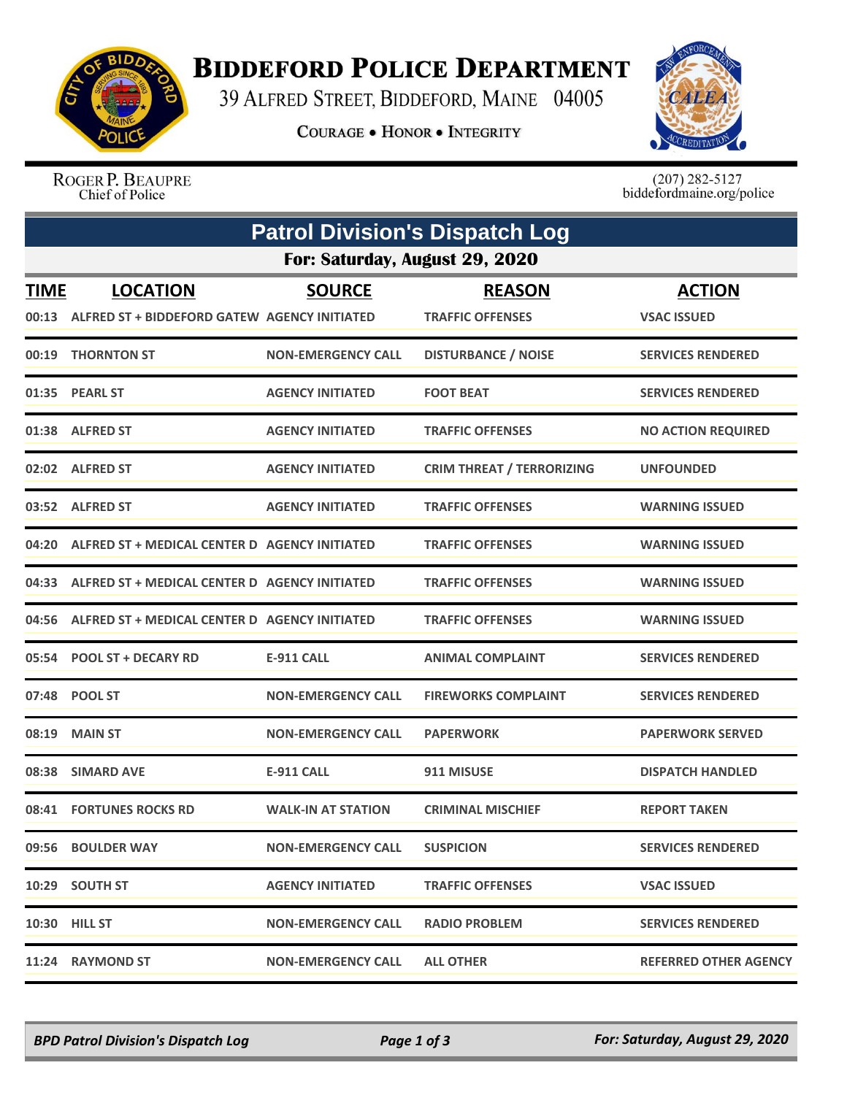

## **BIDDEFORD POLICE DEPARTMENT**

39 ALFRED STREET, BIDDEFORD, MAINE 04005

**COURAGE . HONOR . INTEGRITY** 



ROGER P. BEAUPRE Chief of Police

 $(207)$  282-5127<br>biddefordmaine.org/police

| <b>Patrol Division's Dispatch Log</b> |                                                                       |                           |                                          |                                     |  |  |  |  |  |
|---------------------------------------|-----------------------------------------------------------------------|---------------------------|------------------------------------------|-------------------------------------|--|--|--|--|--|
|                                       | For: Saturday, August 29, 2020                                        |                           |                                          |                                     |  |  |  |  |  |
| <b>TIME</b>                           | <b>LOCATION</b><br>00:13 ALFRED ST + BIDDEFORD GATEW AGENCY INITIATED | <b>SOURCE</b>             | <b>REASON</b><br><b>TRAFFIC OFFENSES</b> | <b>ACTION</b><br><b>VSAC ISSUED</b> |  |  |  |  |  |
| 00:19                                 | <b>THORNTON ST</b>                                                    | <b>NON-EMERGENCY CALL</b> | <b>DISTURBANCE / NOISE</b>               | <b>SERVICES RENDERED</b>            |  |  |  |  |  |
|                                       | 01:35 PEARL ST                                                        | <b>AGENCY INITIATED</b>   | <b>FOOT BEAT</b>                         | <b>SERVICES RENDERED</b>            |  |  |  |  |  |
|                                       | 01:38 ALFRED ST                                                       | <b>AGENCY INITIATED</b>   | <b>TRAFFIC OFFENSES</b>                  | <b>NO ACTION REQUIRED</b>           |  |  |  |  |  |
|                                       | 02:02 ALFRED ST                                                       | <b>AGENCY INITIATED</b>   | <b>CRIM THREAT / TERRORIZING</b>         | <b>UNFOUNDED</b>                    |  |  |  |  |  |
|                                       | 03:52 ALFRED ST                                                       | <b>AGENCY INITIATED</b>   | <b>TRAFFIC OFFENSES</b>                  | <b>WARNING ISSUED</b>               |  |  |  |  |  |
|                                       | 04:20 ALFRED ST + MEDICAL CENTER D AGENCY INITIATED                   |                           | <b>TRAFFIC OFFENSES</b>                  | <b>WARNING ISSUED</b>               |  |  |  |  |  |
|                                       | 04:33 ALFRED ST + MEDICAL CENTER D AGENCY INITIATED                   |                           | <b>TRAFFIC OFFENSES</b>                  | <b>WARNING ISSUED</b>               |  |  |  |  |  |
|                                       | 04:56 ALFRED ST + MEDICAL CENTER D AGENCY INITIATED                   |                           | <b>TRAFFIC OFFENSES</b>                  | <b>WARNING ISSUED</b>               |  |  |  |  |  |
|                                       | 05:54 POOL ST + DECARY RD                                             | E-911 CALL                | <b>ANIMAL COMPLAINT</b>                  | <b>SERVICES RENDERED</b>            |  |  |  |  |  |
|                                       | 07:48 POOL ST                                                         | <b>NON-EMERGENCY CALL</b> | <b>FIREWORKS COMPLAINT</b>               | <b>SERVICES RENDERED</b>            |  |  |  |  |  |
| 08:19                                 | <b>MAIN ST</b>                                                        | <b>NON-EMERGENCY CALL</b> | <b>PAPERWORK</b>                         | <b>PAPERWORK SERVED</b>             |  |  |  |  |  |
|                                       | 08:38 SIMARD AVE                                                      | <b>E-911 CALL</b>         | 911 MISUSE                               | <b>DISPATCH HANDLED</b>             |  |  |  |  |  |
|                                       | 08:41 FORTUNES ROCKS RD                                               | <b>WALK-IN AT STATION</b> | <b>CRIMINAL MISCHIEF</b>                 | <b>REPORT TAKEN</b>                 |  |  |  |  |  |
|                                       | 09:56 BOULDER WAY                                                     | <b>NON-EMERGENCY CALL</b> | <b>SUSPICION</b>                         | <b>SERVICES RENDERED</b>            |  |  |  |  |  |
|                                       | 10:29 SOUTH ST                                                        | <b>AGENCY INITIATED</b>   | <b>TRAFFIC OFFENSES</b>                  | <b>VSAC ISSUED</b>                  |  |  |  |  |  |
|                                       | 10:30 HILL ST                                                         | <b>NON-EMERGENCY CALL</b> | <b>RADIO PROBLEM</b>                     | <b>SERVICES RENDERED</b>            |  |  |  |  |  |
|                                       | 11:24 RAYMOND ST                                                      | <b>NON-EMERGENCY CALL</b> | <b>ALL OTHER</b>                         | <b>REFERRED OTHER AGENCY</b>        |  |  |  |  |  |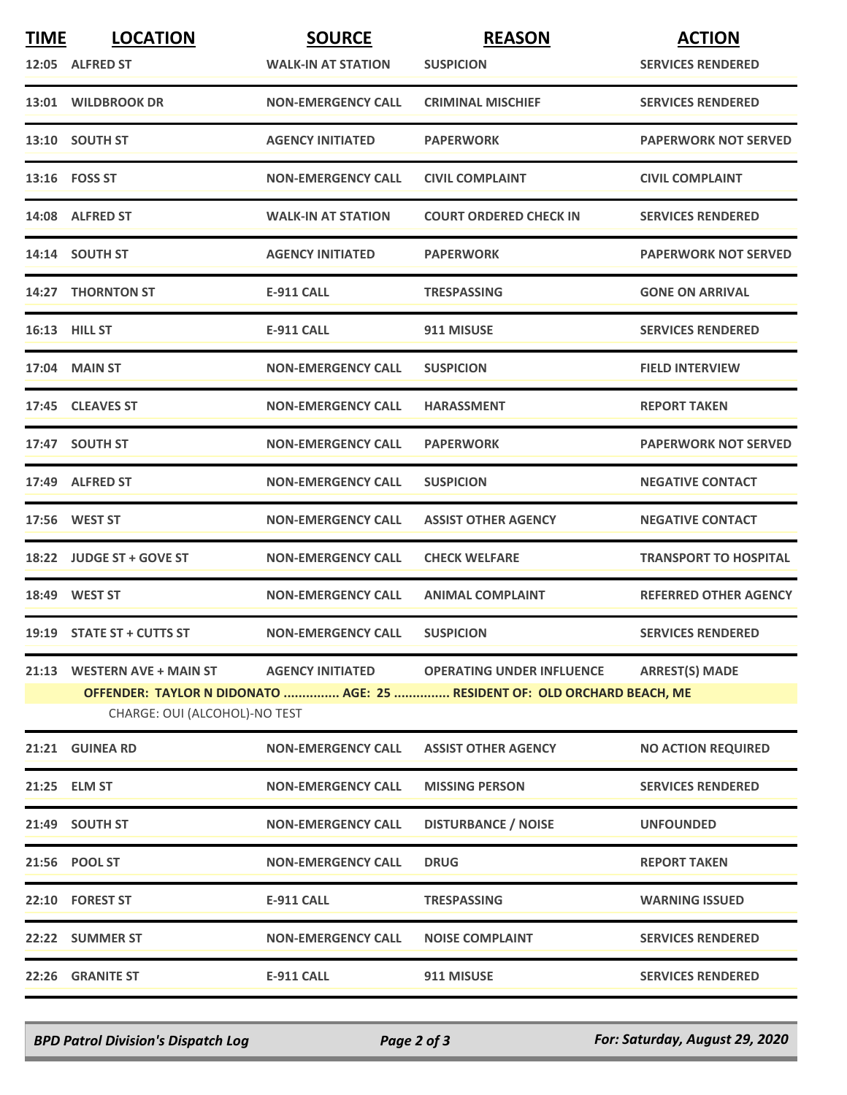| <b>TIME</b> | <b>LOCATION</b>                                                                                           | <b>SOURCE</b>             | <b>REASON</b>                    | <b>ACTION</b>                |  |  |
|-------------|-----------------------------------------------------------------------------------------------------------|---------------------------|----------------------------------|------------------------------|--|--|
|             | 12:05 ALFRED ST                                                                                           | <b>WALK-IN AT STATION</b> | <b>SUSPICION</b>                 | <b>SERVICES RENDERED</b>     |  |  |
|             | 13:01 WILDBROOK DR                                                                                        | <b>NON-EMERGENCY CALL</b> | <b>CRIMINAL MISCHIEF</b>         | <b>SERVICES RENDERED</b>     |  |  |
|             | 13:10 SOUTH ST                                                                                            | <b>AGENCY INITIATED</b>   | <b>PAPERWORK</b>                 | <b>PAPERWORK NOT SERVED</b>  |  |  |
|             | 13:16    FOSS ST                                                                                          | <b>NON-EMERGENCY CALL</b> | <b>CIVIL COMPLAINT</b>           | <b>CIVIL COMPLAINT</b>       |  |  |
|             | 14:08 ALFRED ST                                                                                           | <b>WALK-IN AT STATION</b> | <b>COURT ORDERED CHECK IN</b>    | <b>SERVICES RENDERED</b>     |  |  |
|             | 14:14 SOUTH ST                                                                                            | <b>AGENCY INITIATED</b>   | <b>PAPERWORK</b>                 | <b>PAPERWORK NOT SERVED</b>  |  |  |
|             | 14:27 THORNTON ST                                                                                         | <b>E-911 CALL</b>         | <b>TRESPASSING</b>               | <b>GONE ON ARRIVAL</b>       |  |  |
|             | <b>16:13 HILL ST</b>                                                                                      | E-911 CALL                | 911 MISUSE                       | <b>SERVICES RENDERED</b>     |  |  |
|             | 17:04 MAIN ST                                                                                             | <b>NON-EMERGENCY CALL</b> | <b>SUSPICION</b>                 | <b>FIELD INTERVIEW</b>       |  |  |
|             | 17:45 CLEAVES ST                                                                                          | <b>NON-EMERGENCY CALL</b> | <b>HARASSMENT</b>                | <b>REPORT TAKEN</b>          |  |  |
|             | 17:47 SOUTH ST                                                                                            | <b>NON-EMERGENCY CALL</b> | <b>PAPERWORK</b>                 | <b>PAPERWORK NOT SERVED</b>  |  |  |
|             | 17:49 ALFRED ST                                                                                           | <b>NON-EMERGENCY CALL</b> | <b>SUSPICION</b>                 | <b>NEGATIVE CONTACT</b>      |  |  |
|             | 17:56 WEST ST                                                                                             | <b>NON-EMERGENCY CALL</b> | <b>ASSIST OTHER AGENCY</b>       | <b>NEGATIVE CONTACT</b>      |  |  |
|             | 18:22 JUDGE ST + GOVE ST                                                                                  | <b>NON-EMERGENCY CALL</b> | <b>CHECK WELFARE</b>             | <b>TRANSPORT TO HOSPITAL</b> |  |  |
|             | 18:49 WEST ST                                                                                             | <b>NON-EMERGENCY CALL</b> | <b>ANIMAL COMPLAINT</b>          | <b>REFERRED OTHER AGENCY</b> |  |  |
|             | 19:19 STATE ST + CUTTS ST                                                                                 | <b>NON-EMERGENCY CALL</b> | <b>SUSPICION</b>                 | <b>SERVICES RENDERED</b>     |  |  |
|             | 21:13 WESTERN AVE + MAIN ST                                                                               | <b>AGENCY INITIATED</b>   | <b>OPERATING UNDER INFLUENCE</b> | <b>ARREST(S) MADE</b>        |  |  |
|             | OFFENDER: TAYLOR N DIDONATO  AGE: 25  RESIDENT OF: OLD ORCHARD BEACH, ME<br>CHARGE: OUI (ALCOHOL)-NO TEST |                           |                                  |                              |  |  |
|             | 21:21 GUINEA RD                                                                                           | <b>NON-EMERGENCY CALL</b> | <b>ASSIST OTHER AGENCY</b>       | <b>NO ACTION REQUIRED</b>    |  |  |
|             | 21:25 ELM ST                                                                                              | <b>NON-EMERGENCY CALL</b> | <b>MISSING PERSON</b>            | <b>SERVICES RENDERED</b>     |  |  |
|             | 21:49 SOUTH ST                                                                                            | <b>NON-EMERGENCY CALL</b> | <b>DISTURBANCE / NOISE</b>       | <b>UNFOUNDED</b>             |  |  |
|             | 21:56 POOL ST                                                                                             | <b>NON-EMERGENCY CALL</b> | <b>DRUG</b>                      | <b>REPORT TAKEN</b>          |  |  |
|             | 22:10 FOREST ST                                                                                           | <b>E-911 CALL</b>         | <b>TRESPASSING</b>               | <b>WARNING ISSUED</b>        |  |  |
|             | 22:22 SUMMER ST                                                                                           | <b>NON-EMERGENCY CALL</b> | <b>NOISE COMPLAINT</b>           | <b>SERVICES RENDERED</b>     |  |  |
|             | 22:26 GRANITE ST                                                                                          | <b>E-911 CALL</b>         | 911 MISUSE                       | <b>SERVICES RENDERED</b>     |  |  |

*BPD Patrol Division's Dispatch Log Page 2 of 3 For: Saturday, August 29, 2020*